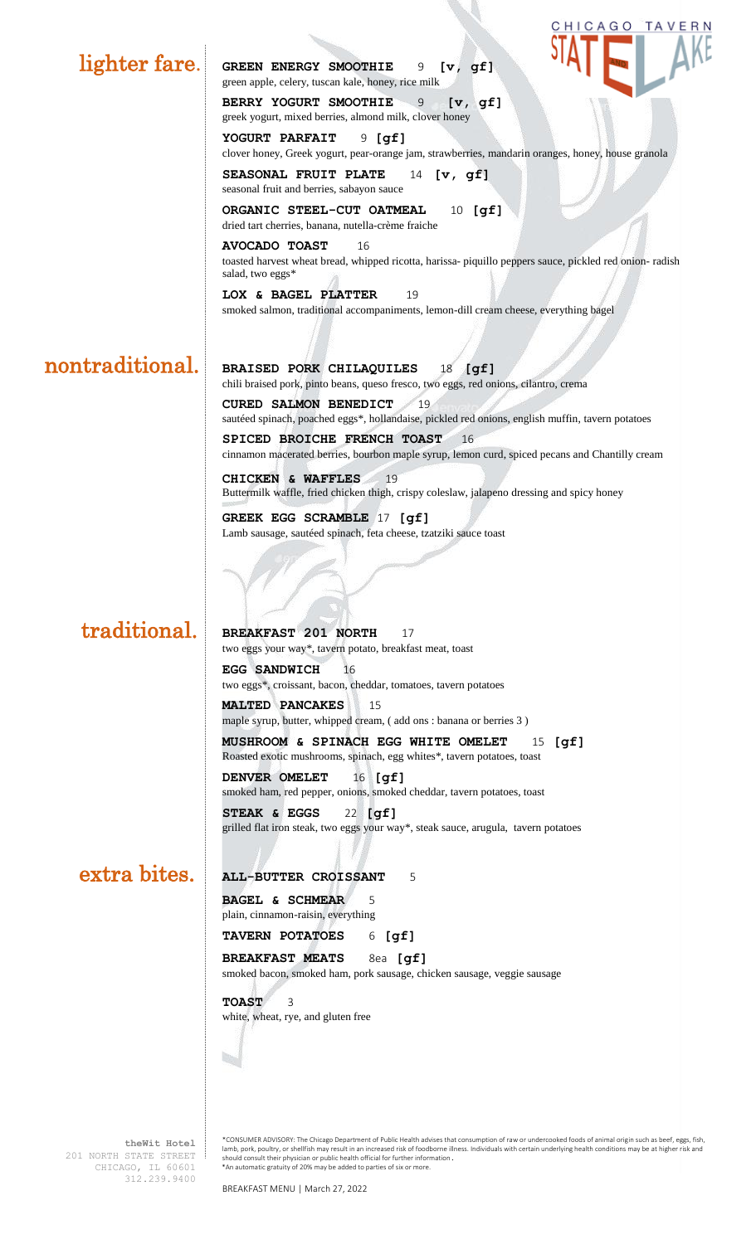|                 | CHICAGO TAVERN                                                                                                                                           |
|-----------------|----------------------------------------------------------------------------------------------------------------------------------------------------------|
| lighter fare.   | <b>GREEN ENERGY SMOOTHIE</b><br>9<br>[v, gf]<br>green apple, celery, tuscan kale, honey, rice milk                                                       |
|                 | BERRY YOGURT SMOOTHIE<br>9<br>[v, qf]<br>greek yogurt, mixed berries, almond milk, clover honey                                                          |
|                 | YOGURT PARFAIT<br>$9$ [gf]<br>clover honey, Greek yogurt, pear-orange jam, strawberries, mandarin oranges, honey, house granola                          |
|                 | SEASONAL FRUIT PLATE<br>[v, gf]<br>14<br>seasonal fruit and berries, sabayon sauce                                                                       |
|                 | ORGANIC STEEL-CUT OATMEAL<br>$10$ [gf]<br>dried tart cherries, banana, nutella-crème fraiche                                                             |
|                 | <b>AVOCADO TOAST</b><br>16<br>toasted harvest wheat bread, whipped ricotta, harissa-piquillo peppers sauce, pickled red onion-radish<br>salad, two eggs* |
|                 | LOX & BAGEL PLATTER<br>19<br>smoked salmon, traditional accompaniments, lemon-dill cream cheese, everything bagel                                        |
|                 |                                                                                                                                                          |
| nontraditional. | BRAISED PORK CHILAQUILES<br>[gf]<br>18<br>chili braised pork, pinto beans, queso fresco, two eggs, red onions, cilantro, crema                           |
|                 | <b>CURED SALMON BENEDICT</b><br>19<br>sautéed spinach, poached eggs*, hollandaise, pickled red onions, english muffin, tavern potatoes                   |
|                 | SPICED BROICHE FRENCH TOAST<br>16<br>cinnamon macerated berries, bourbon maple syrup, lemon curd, spiced pecans and Chantilly cream                      |
|                 | CHICKEN & WAFFLES<br>19<br>Buttermilk waffle, fried chicken thigh, crispy coleslaw, jalapeno dressing and spicy honey                                    |
|                 | GREEK EGG SCRAMBLE 17 [gf]<br>Lamb sausage, sautéed spinach, feta cheese, tzatziki sauce toast                                                           |
|                 |                                                                                                                                                          |
|                 |                                                                                                                                                          |
| traditional.    | BREAKFAST 201 NORTH<br>17<br>two eggs your way*, tavern potato, breakfast meat, toast                                                                    |
|                 | EGG SANDWICH<br>16                                                                                                                                       |
|                 | two eggs*, croissant, bacon, cheddar, tomatoes, tavern potatoes<br><b>MALTED PANCAKES</b><br>15                                                          |
|                 | maple syrup, butter, whipped cream, (add ons : banana or berries 3)                                                                                      |
|                 | MUSHROOM & SPINACH EGG WHITE OMELET<br>$\lbrack gf \rbrack$<br>15<br>Roasted exotic mushrooms, spinach, egg whites*, tavern potatoes, toast              |
|                 | DENVER OMELET<br>$16$ [gf]<br>smoked ham, red pepper, onions, smoked cheddar, tavern potatoes, toast                                                     |
|                 | STEAK & EGGS<br>$22$ [gf]<br>grilled flat iron steak, two eggs your way*, steak sauce, arugula, tavern potatoes                                          |
| extra bites.    |                                                                                                                                                          |
|                 | ALL-BUTTER CROISSANT<br>5<br><b>BAGEL &amp; SCHMEAR</b><br>5<br>plain, cinnamon-raisin, everything                                                       |
|                 | TAVERN POTATOES<br>$6$ [gf]                                                                                                                              |
|                 | BREAKFAST MEATS<br>8ea [gf]<br>smoked bacon, smoked ham, pork sausage, chicken sausage, veggie sausage                                                   |
|                 | <b>TOAST</b><br>3<br>white, wheat, rye, and gluten free                                                                                                  |
|                 |                                                                                                                                                          |
|                 |                                                                                                                                                          |
|                 |                                                                                                                                                          |

- 2

**theWit Hotel** 201 NORTH STATE STREET CHICAGO, IL 60601 312.239.9400

the Wit Hotel \*CONSUMER ADVISORY: The Chicago Department of Public Health advises that consumption of raw or undercooked foods of animal origin such as beef, eggs, fish, and the way of the Chicago Department of Public Heal